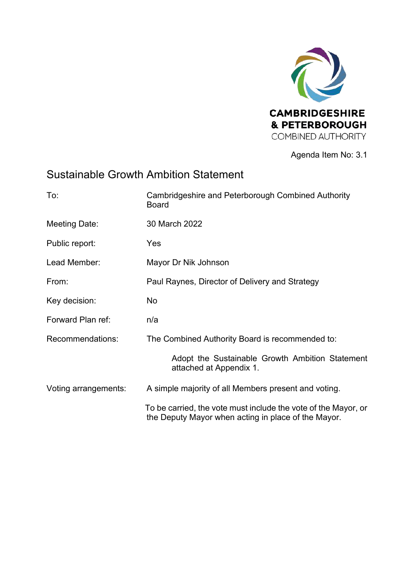

Agenda Item No: 3.1

# Sustainable Growth Ambition Statement

| To:                  | Cambridgeshire and Peterborough Combined Authority<br><b>Board</b>                                                    |
|----------------------|-----------------------------------------------------------------------------------------------------------------------|
| Meeting Date:        | 30 March 2022                                                                                                         |
| Public report:       | Yes                                                                                                                   |
| Lead Member:         | Mayor Dr Nik Johnson                                                                                                  |
| From:                | Paul Raynes, Director of Delivery and Strategy                                                                        |
| Key decision:        | No                                                                                                                    |
| Forward Plan ref:    | n/a                                                                                                                   |
| Recommendations:     | The Combined Authority Board is recommended to:                                                                       |
|                      | Adopt the Sustainable Growth Ambition Statement<br>attached at Appendix 1.                                            |
| Voting arrangements: | A simple majority of all Members present and voting.                                                                  |
|                      | To be carried, the vote must include the vote of the Mayor, or<br>the Deputy Mayor when acting in place of the Mayor. |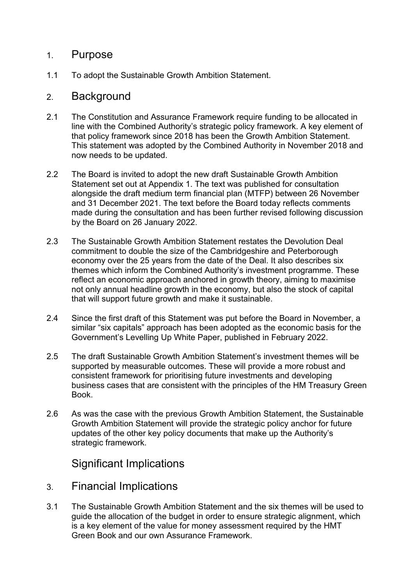#### 1. Purpose

1.1 To adopt the Sustainable Growth Ambition Statement.

#### 2. Background

- 2.1 The Constitution and Assurance Framework require funding to be allocated in line with the Combined Authority's strategic policy framework. A key element of that policy framework since 2018 has been the Growth Ambition Statement. This statement was adopted by the Combined Authority in November 2018 and now needs to be updated.
- 2.2 The Board is invited to adopt the new draft Sustainable Growth Ambition Statement set out at Appendix 1. The text was published for consultation alongside the draft medium term financial plan (MTFP) between 26 November and 31 December 2021. The text before the Board today reflects comments made during the consultation and has been further revised following discussion by the Board on 26 January 2022.
- 2.3 The Sustainable Growth Ambition Statement restates the Devolution Deal commitment to double the size of the Cambridgeshire and Peterborough economy over the 25 years from the date of the Deal. It also describes six themes which inform the Combined Authority's investment programme. These reflect an economic approach anchored in growth theory, aiming to maximise not only annual headline growth in the economy, but also the stock of capital that will support future growth and make it sustainable.
- 2.4 Since the first draft of this Statement was put before the Board in November, a similar "six capitals" approach has been adopted as the economic basis for the Government's Levelling Up White Paper, published in February 2022.
- 2.5 The draft Sustainable Growth Ambition Statement's investment themes will be supported by measurable outcomes. These will provide a more robust and consistent framework for prioritising future investments and developing business cases that are consistent with the principles of the HM Treasury Green Book.
- 2.6 As was the case with the previous Growth Ambition Statement, the Sustainable Growth Ambition Statement will provide the strategic policy anchor for future updates of the other key policy documents that make up the Authority's strategic framework.

## Significant Implications

- 3. Financial Implications
- 3.1 The Sustainable Growth Ambition Statement and the six themes will be used to guide the allocation of the budget in order to ensure strategic alignment, which is a key element of the value for money assessment required by the HMT Green Book and our own Assurance Framework.